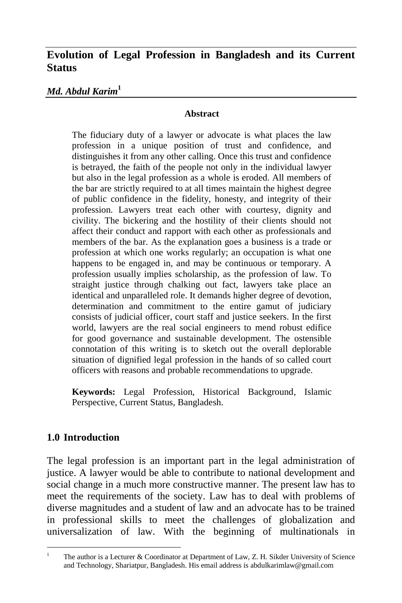# **Evolution of Legal Profession in Bangladesh and its Current Status**

#### *Md. Abdul Karim***<sup>1</sup>**

#### **Abstract**

The fiduciary duty of a lawyer or advocate is what places the law profession in a unique position of trust and confidence, and distinguishes it from any other calling. Once this trust and confidence is betrayed, the faith of the people not only in the individual lawyer but also in the legal profession as a whole is eroded. All members of the bar are strictly required to at all times maintain the highest degree of public confidence in the fidelity, honesty, and integrity of their profession. Lawyers treat each other with courtesy, dignity and civility. The bickering and the hostility of their clients should not affect their conduct and rapport with each other as professionals and members of the bar. As the explanation goes a business is a trade or profession at which one works regularly; an occupation is what one happens to be engaged in, and may be continuous or temporary. A profession usually implies scholarship, as the profession of law. To straight justice through chalking out fact, lawyers take place an identical and unparalleled role. It demands higher degree of devotion, determination and commitment to the entire gamut of judiciary consists of judicial officer, court staff and justice seekers. In the first world, lawyers are the real social engineers to mend robust edifice for good governance and sustainable development. The ostensible connotation of this writing is to sketch out the overall deplorable situation of dignified legal profession in the hands of so called court officers with reasons and probable recommendations to upgrade.

**Keywords:** Legal Profession, Historical Background, Islamic Perspective, Current Status, Bangladesh.

#### **1.0 Introduction**

The legal profession is an important part in the legal administration of justice. A lawyer would be able to contribute to national development and social change in a much more constructive manner. The present law has to meet the requirements of the society. Law has to deal with problems of diverse magnitudes and a student of law and an advocate has to be trained in professional skills to meet the challenges of globalization and universalization of law. With the beginning of multinationals in

 $\overline{a}$ <sup>1</sup> The author is a Lecturer & Coordinator at Department of Law, Z. H. Sikder University of Science and Technology, Shariatpur, Bangladesh. His email address is [abdulkarimlaw@gmail.com](mailto:abdulkarimlaw@gmail.com)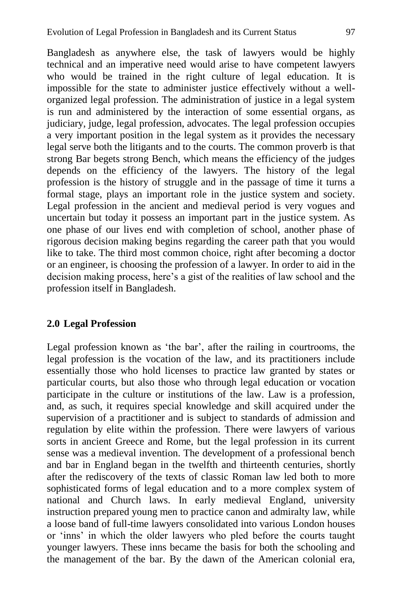Bangladesh as anywhere else, the task of lawyers would be highly technical and an imperative need would arise to have competent lawyers who would be trained in the right culture of legal education. It is impossible for the state to administer justice effectively without a wellorganized legal profession. The administration of justice in a legal system is run and administered by the interaction of some essential organs, as judiciary, judge, legal profession, advocates. The legal profession occupies a very important position in the legal system as it provides the necessary legal serve both the litigants and to the courts. The common proverb is that strong Bar begets strong Bench, which means the efficiency of the judges depends on the efficiency of the lawyers. The history of the legal profession is the history of struggle and in the passage of time it turns a formal stage, plays an important role in the justice system and society. Legal profession in the ancient and medieval period is very vogues and uncertain but today it possess an important part in the justice system. As one phase of our lives end with completion of school, another phase of rigorous decision making begins regarding the career path that you would like to take. The third most common choice, right after becoming a doctor or an engineer, is choosing the profession of a lawyer. In order to aid in the decision making process, here's a gist of the realities of law school and the profession itself in Bangladesh.

#### **2.0 Legal Profession**

Legal profession known as 'the bar', after the railing in courtrooms, the legal profession is the vocation of the law, and its practitioners include essentially those who hold licenses to practice law granted by states or particular courts, but also those who through legal education or vocation participate in the culture or institutions of the law. Law is a profession, and, as such, it requires special knowledge and skill acquired under the supervision of a practitioner and is subject to standards of admission and regulation by elite within the profession. There were lawyers of various sorts in ancient Greece and Rome, but the legal profession in its current sense was a medieval invention. The development of a professional bench and bar in England began in the twelfth and thirteenth centuries, shortly after the rediscovery of the texts of classic Roman law led both to more sophisticated forms of legal education and to a more complex system of national and Church laws. In early medieval England, university instruction prepared young men to practice canon and admiralty law, while a loose band of full-time lawyers consolidated into various London houses or ‗inns' in which the older lawyers who pled before the courts taught younger lawyers. These inns became the basis for both the schooling and the management of the bar. By the dawn of the American colonial era,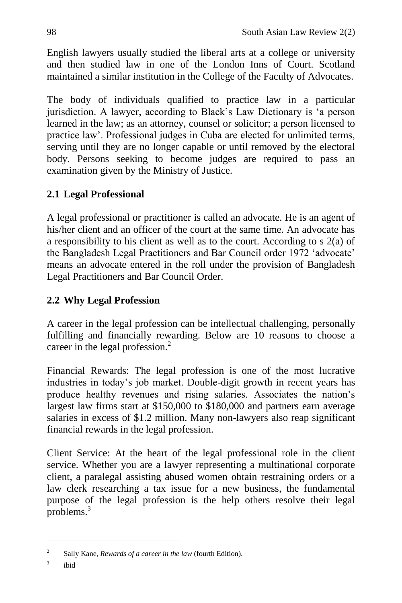English lawyers usually studied the liberal arts at a college or university and then studied law in one of the London Inns of Court. Scotland maintained a similar institution in the College of the Faculty of Advocates.

The body of individuals qualified to practice law in a particular jurisdiction. A lawyer, according to Black's Law Dictionary is ‗a person learned in the law; as an attorney, counsel or solicitor; a person licensed to practice law'. Professional judges in Cuba are elected for unlimited terms, serving until they are no longer capable or until removed by the electoral body. Persons seeking to become judges are required to pass an examination given by the Ministry of Justice.

# **2.1 Legal Professional**

A legal professional or practitioner is called an advocate. He is an agent of his/her client and an officer of the court at the same time. An advocate has a responsibility to his client as well as to the court. According to s 2(a) of the Bangladesh Legal Practitioners and Bar Council order 1972 'advocate' means an advocate entered in the roll under the provision of Bangladesh Legal Practitioners and Bar Council Order.

# **2.2 Why Legal Profession**

A career in the legal profession can be intellectual challenging, personally fulfilling and financially rewarding. Below are 10 reasons to choose a career in the legal profession.<sup>2</sup>

Financial Rewards: The legal profession is one of the most lucrative industries in today's job market. Double-digit growth in recent years has produce healthy revenues and rising salaries. Associates the nation's largest law firms start at \$150,000 to \$180,000 and partners earn average salaries in excess of \$1.2 million. Many non-lawyers also reap significant financial rewards in the legal profession.

Client Service: At the heart of the legal professional role in the client service. Whether you are a lawyer representing a multinational corporate client, a paralegal assisting abused women obtain restraining orders or a law clerk researching a tax issue for a new business, the fundamental purpose of the legal profession is the help others resolve their legal problems. $3$ 

 $\overline{a}$ 

<sup>2</sup> Sally Kane, *Rewards of a career in the law* (fourth Edition).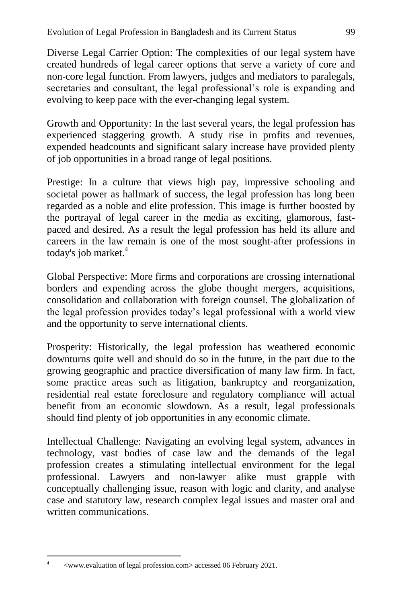Diverse Legal Carrier Option: The complexities of our legal system have created hundreds of legal career options that serve a variety of core and non-core legal function. From lawyers, judges and mediators to paralegals, secretaries and consultant, the legal professional's role is expanding and evolving to keep pace with the ever-changing legal system.

Growth and Opportunity: In the last several years, the legal profession has experienced staggering growth. A study rise in profits and revenues, expended headcounts and significant salary increase have provided plenty of job opportunities in a broad range of legal positions.

Prestige: In a culture that views high pay, impressive schooling and societal power as hallmark of success, the legal profession has long been regarded as a noble and elite profession. This image is further boosted by the portrayal of legal career in the media as exciting, glamorous, fastpaced and desired. As a result the legal profession has held its allure and careers in the law remain is one of the most sought-after professions in today's job market. $4$ 

Global Perspective: More firms and corporations are crossing international borders and expending across the globe thought mergers, acquisitions, consolidation and collaboration with foreign counsel. The globalization of the legal profession provides today's legal professional with a world view and the opportunity to serve international clients.

Prosperity: Historically, the legal profession has weathered economic downturns quite well and should do so in the future, in the part due to the growing geographic and practice diversification of many law firm. In fact, some practice areas such as litigation, bankruptcy and reorganization, residential real estate foreclosure and regulatory compliance will actual benefit from an economic slowdown. As a result, legal professionals should find plenty of job opportunities in any economic climate.

Intellectual Challenge: Navigating an evolving legal system, advances in technology, vast bodies of case law and the demands of the legal profession creates a stimulating intellectual environment for the legal professional. Lawyers and non-lawyer alike must grapple with conceptually challenging issue, reason with logic and clarity, and analyse case and statutory law, research complex legal issues and master oral and written communications.

 $\overline{a}$ 4

<sup>&</sup>lt;www.evaluation of legal profession.com> accessed 06 February 2021.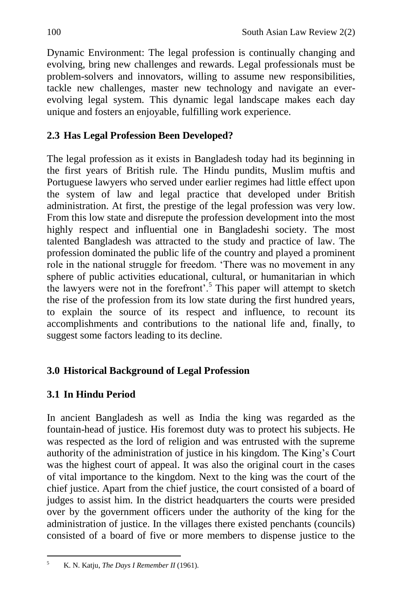Dynamic Environment: The legal profession is continually changing and evolving, bring new challenges and rewards. Legal professionals must be problem-solvers and innovators, willing to assume new responsibilities, tackle new challenges, master new technology and navigate an everevolving legal system. This dynamic legal landscape makes each day unique and fosters an enjoyable, fulfilling work experience.

# **2.3 Has Legal Profession Been Developed?**

The legal profession as it exists in Bangladesh today had its beginning in the first years of British rule. The Hindu pundits, Muslim muftis and Portuguese lawyers who served under earlier regimes had little effect upon the system of law and legal practice that developed under British administration. At first, the prestige of the legal profession was very low. From this low state and disrepute the profession development into the most highly respect and influential one in Bangladeshi society. The most talented Bangladesh was attracted to the study and practice of law. The profession dominated the public life of the country and played a prominent role in the national struggle for freedom. 'There was no movement in any sphere of public activities educational, cultural, or humanitarian in which the lawyers were not in the forefront'.<sup>5</sup> This paper will attempt to sketch the rise of the profession from its low state during the first hundred years, to explain the source of its respect and influence, to recount its accomplishments and contributions to the national life and, finally, to suggest some factors leading to its decline.

# **3.0 Historical Background of Legal Profession**

# **3.1 In Hindu Period**

In ancient Bangladesh as well as India the king was regarded as the fountain-head of justice. His foremost duty was to protect his subjects. He was respected as the lord of religion and was entrusted with the supreme authority of the administration of justice in his kingdom. The King's Court was the highest court of appeal. It was also the original court in the cases of vital importance to the kingdom. Next to the king was the court of the chief justice. Apart from the chief justice, the court consisted of a board of judges to assist him. In the district headquarters the courts were presided over by the government officers under the authority of the king for the administration of justice. In the villages there existed penchants (councils) consisted of a board of five or more members to dispense justice to the

 $\overline{a}$ <sup>5</sup> K. N. Katju, *The Days I Remember II* (1961).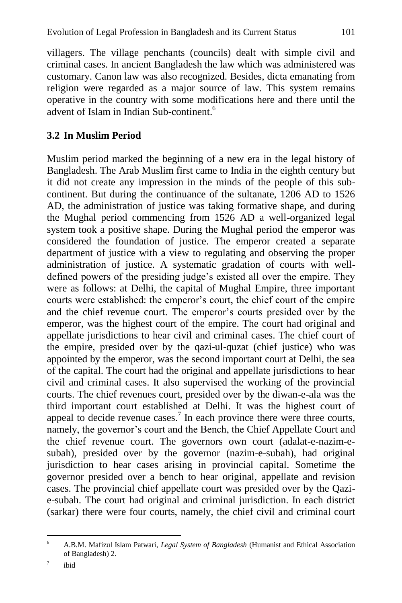villagers. The village penchants (councils) dealt with simple civil and criminal cases. In ancient Bangladesh the law which was administered was customary. Canon law was also recognized. Besides, dicta emanating from religion were regarded as a major source of law. This system remains operative in the country with some modifications here and there until the advent of Islam in Indian Sub-continent.<sup>6</sup>

## **3.2 In Muslim Period**

Muslim period marked the beginning of a new era in the legal history of Bangladesh. The Arab Muslim first came to India in the eighth century but it did not create any impression in the minds of the people of this subcontinent. But during the continuance of the sultanate, 1206 AD to 1526 AD, the administration of justice was taking formative shape, and during the Mughal period commencing from 1526 AD a well-organized legal system took a positive shape. During the Mughal period the emperor was considered the foundation of justice. The emperor created a separate department of justice with a view to regulating and observing the proper administration of justice. A systematic gradation of courts with welldefined powers of the presiding judge's existed all over the empire. They were as follows: at Delhi, the capital of Mughal Empire, three important courts were established: the emperor's court, the chief court of the empire and the chief revenue court. The emperor's courts presided over by the emperor, was the highest court of the empire. The court had original and appellate jurisdictions to hear civil and criminal cases. The chief court of the empire, presided over by the qazi-ul-quzat (chief justice) who was appointed by the emperor, was the second important court at Delhi, the sea of the capital. The court had the original and appellate jurisdictions to hear civil and criminal cases. It also supervised the working of the provincial courts. The chief revenues court, presided over by the diwan-e-ala was the third important court established at Delhi. It was the highest court of appeal to decide revenue cases.<sup>7</sup> In each province there were three courts, namely, the governor's court and the Bench, the Chief Appellate Court and the chief revenue court. The governors own court (adalat-e-nazim-esubah), presided over by the governor (nazim-e-subah), had original jurisdiction to hear cases arising in provincial capital. Sometime the governor presided over a bench to hear original, appellate and revision cases. The provincial chief appellate court was presided over by the Qazie-subah. The court had original and criminal jurisdiction. In each district (sarkar) there were four courts, namely, the chief civil and criminal court

 $\overline{a}$ <sup>6</sup> A.B.M. Mafizul Islam Patwari, *Legal System of Bangladesh* (Humanist and Ethical Association of Bangladesh) 2.

<sup>7</sup> ibid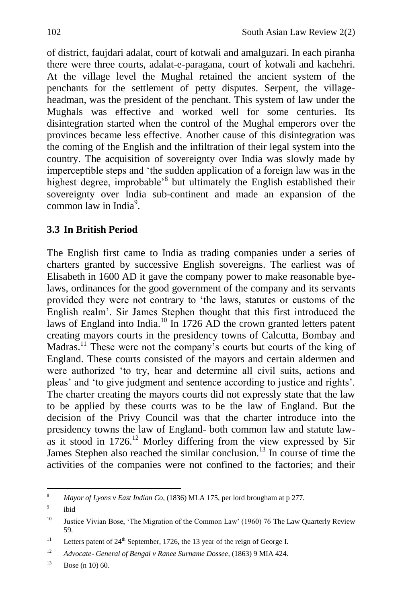of district, faujdari adalat, court of kotwali and amalguzari. In each piranha there were three courts, adalat-e-paragana, court of kotwali and kachehri. At the village level the Mughal retained the ancient system of the penchants for the settlement of petty disputes. Serpent, the villageheadman, was the president of the penchant. This system of law under the Mughals was effective and worked well for some centuries. Its disintegration started when the control of the Mughal emperors over the provinces became less effective. Another cause of this disintegration was the coming of the English and the infiltration of their legal system into the country. The acquisition of sovereignty over India was slowly made by imperceptible steps and 'the sudden application of a foreign law was in the highest degree, improbable<sup>'8</sup> but ultimately the English established their sovereignty over India sub-continent and made an expansion of the common law in India<sup>9</sup>.

# **3.3 In British Period**

The English first came to India as trading companies under a series of charters granted by successive English sovereigns. The earliest was of Elisabeth in 1600 AD it gave the company power to make reasonable byelaws, ordinances for the good government of the company and its servants provided they were not contrary to 'the laws, statutes or customs of the English realm'. Sir James Stephen thought that this first introduced the laws of England into India.<sup>10</sup> In 1726 AD the crown granted letters patent creating mayors courts in the presidency towns of Calcutta, Bombay and Madras.<sup>11</sup> These were not the company's courts but courts of the king of England. These courts consisted of the mayors and certain aldermen and were authorized 'to try, hear and determine all civil suits, actions and pleas' and 'to give judgment and sentence according to justice and rights'. The charter creating the mayors courts did not expressly state that the law to be applied by these courts was to be the law of England. But the decision of the Privy Council was that the charter introduce into the presidency towns the law of England- both common law and statute lawas it stood in  $1726$ <sup>12</sup> Morley differing from the view expressed by Sir James Stephen also reached the similar conclusion.<sup>13</sup> In course of time the activities of the companies were not confined to the factories; and their

 $\overline{\mathbf{8}}$ <sup>8</sup> *Mayor of Lyons v East Indian Co*, (1836) MLA 175, per lord brougham at p 277.

<sup>9</sup> ibid

<sup>&</sup>lt;sup>10</sup> Justice Vivian Bose, 'The Migration of the Common Law' (1960) 76 The Law Quarterly Review 59.

<sup>&</sup>lt;sup>11</sup> Letters patent of  $24<sup>th</sup>$  September, 1726, the 13 year of the reign of George I.

<sup>12</sup> *Advocate- General of Bengal v Ranee Surname Dossee*, (1863) 9 MIA 424.

 $13$  Bose (n 10) 60.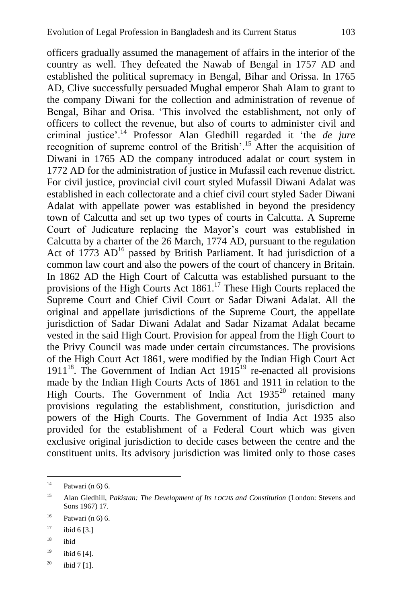officers gradually assumed the management of affairs in the interior of the country as well. They defeated the Nawab of Bengal in 1757 AD and established the political supremacy in Bengal, Bihar and Orissa. In 1765 AD, Clive successfully persuaded Mughal emperor Shah Alam to grant to the company Diwani for the collection and administration of revenue of Bengal, Bihar and Orisa. 'This involved the establishment, not only of officers to collect the revenue, but also of courts to administer civil and criminal justice'.<sup>14</sup> Professor Alan Gledhill regarded it 'the *de jure* recognition of supreme control of the British'.<sup>15</sup> After the acquisition of Diwani in 1765 AD the company introduced adalat or court system in 1772 AD for the administration of justice in Mufassil each revenue district. For civil justice, provincial civil court styled Mufassil Diwani Adalat was established in each collectorate and a chief civil court styled Sader Diwani Adalat with appellate power was established in beyond the presidency town of Calcutta and set up two types of courts in Calcutta. A Supreme Court of Judicature replacing the Mayor's court was established in Calcutta by a charter of the 26 March, 1774 AD, pursuant to the regulation Act of  $1773$  AD<sup>16</sup> passed by British Parliament. It had jurisdiction of a common law court and also the powers of the court of chancery in Britain. In 1862 AD the High Court of Calcutta was established pursuant to the provisions of the High Courts Act  $1861$ .<sup>17</sup> These High Courts replaced the Supreme Court and Chief Civil Court or Sadar Diwani Adalat. All the original and appellate jurisdictions of the Supreme Court, the appellate jurisdiction of Sadar Diwani Adalat and Sadar Nizamat Adalat became vested in the said High Court. Provision for appeal from the High Court to the Privy Council was made under certain circumstances. The provisions of the High Court Act 1861, were modified by the Indian High Court Act  $1911^{18}$ . The Government of Indian Act  $1915^{19}$  re-enacted all provisions made by the Indian High Courts Acts of 1861 and 1911 in relation to the High Courts. The Government of India Act  $1935^{20}$  retained many provisions regulating the establishment, constitution, jurisdiction and powers of the High Courts. The Government of India Act 1935 also provided for the establishment of a Federal Court which was given exclusive original jurisdiction to decide cases between the centre and the constituent units. Its advisory jurisdiction was limited only to those cases

<sup>18</sup> ibid

 $14$ Patwari (n 6) 6.

<sup>15</sup> Alan Gledhill, *Pakistan: The Development of Its LOCHS and Constitution* (London: Stevens and Sons 1967) 17.

 $^{16}$  Patwari (n 6) 6.

 $17$  ibid 6 [3.]

 $19$  ibid 6 [4].

 $^{20}$  ibid 7 [1].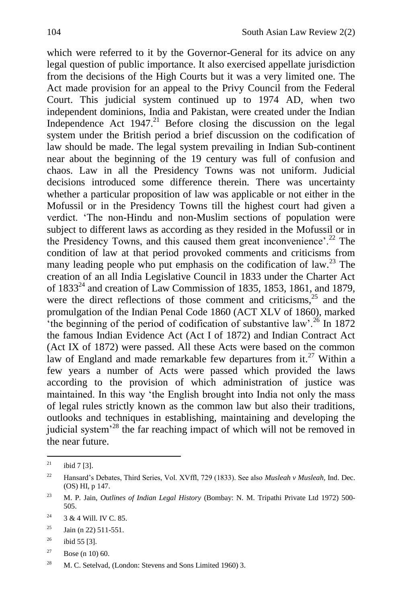which were referred to it by the Governor-General for its advice on any legal question of public importance. It also exercised appellate jurisdiction from the decisions of the High Courts but it was a very limited one. The Act made provision for an appeal to the Privy Council from the Federal Court. This judicial system continued up to 1974 AD, when two independent dominions, India and Pakistan, were created under the Indian Independence Act  $1947<sup>21</sup>$  Before closing the discussion on the legal system under the British period a brief discussion on the codification of law should be made. The legal system prevailing in Indian Sub-continent near about the beginning of the 19 century was full of confusion and chaos. Law in all the Presidency Towns was not uniform. Judicial decisions introduced some difference therein. There was uncertainty whether a particular proposition of law was applicable or not either in the Mofussil or in the Presidency Towns till the highest court had given a verdict. ‗The non-Hindu and non-Muslim sections of population were subject to different laws as according as they resided in the Mofussil or in the Presidency Towns, and this caused them great inconvenience'.<sup>22</sup> The condition of law at that period provoked comments and criticisms from many leading people who put emphasis on the codification of law.<sup>23</sup> The creation of an all India Legislative Council in 1833 under the Charter Act of 1833<sup>24</sup> and creation of Law Commission of 1835, 1853, 1861, and 1879, were the direct reflections of those comment and criticisms, $2<sup>5</sup>$  and the promulgation of the Indian Penal Code 1860 (ACT XLV of 1860), marked  $\cdot$ <sup>the beginning of the period of codification of substantive law'.<sup>26</sup> In 1872</sup> the famous Indian Evidence Act (Act I of 1872) and Indian Contract Act (Act IX of 1872) were passed. All these Acts were based on the common law of England and made remarkable few departures from it.<sup>27</sup> Within a few years a number of Acts were passed which provided the laws according to the provision of which administration of justice was maintained. In this way 'the English brought into India not only the mass of legal rules strictly known as the common law but also their traditions, outlooks and techniques in establishing, maintaining and developing the judicial system<sup>-28</sup> the far reaching impact of which will not be removed in the near future.

 $\overline{21}$ ibid 7 [3].

<sup>22</sup> Hansard's Debates, Third Series, Vol. XVffl, 729 (1833). See also *Musleah v Musleah,* Ind. Dec. (OS) HI, p 147.

<sup>&</sup>lt;sup>23</sup> M. P. Jain, *Outlines of Indian Legal History* (Bombay: N. M. Tripathi Private Ltd 1972) 500-505.

 $2^4$  3 & 4 Will. IV C. 85.

 $^{25}$  Jain (n 22) 511-551.

 $^{26}$  ibid 55 [3].

 $27$  Bose (n 10) 60.

<sup>&</sup>lt;sup>28</sup> M. C. Setelvad, (London: Stevens and Sons Limited 1960) 3.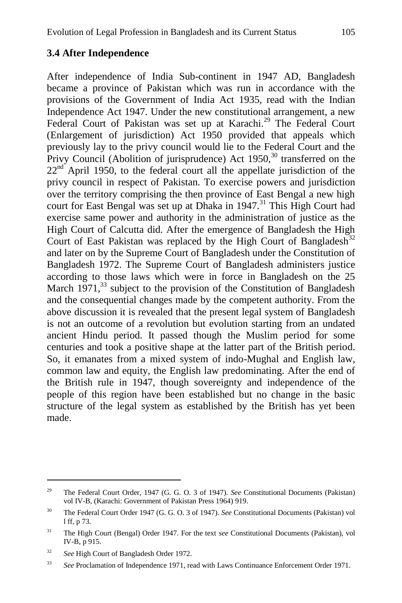#### **3.4 After Independence**

After independence of India Sub-continent in 1947 AD, Bangladesh became a province of Pakistan which was run in accordance with the provisions of the Government of India Act 1935, read with the Indian Independence Act 1947. Under the new constitutional arrangement, a new Federal Court of Pakistan was set up at Karachi.<sup>29</sup> The Federal Court (Enlargement of jurisdiction) Act 1950 provided that appeals which previously lay to the privy council would lie to the Federal Court and the Privy Council (Abolition of jurisprudence) Act  $1950$ ,<sup>30</sup> transferred on the  $22<sup>nd</sup>$  April 1950, to the federal court all the appellate jurisdiction of the privy council in respect of Pakistan. To exercise powers and jurisdiction over the territory comprising the then province of East Bengal a new high court for East Bengal was set up at Dhaka in  $1947$ .<sup>31</sup> This High Court had exercise same power and authority in the administration of justice as the High Court of Calcutta did. After the emergence of Bangladesh the High Court of East Pakistan was replaced by the High Court of Bangladesh<sup>32</sup> and later on by the Supreme Court of Bangladesh under the Constitution of Bangladesh 1972. The Supreme Court of Bangladesh administers justice according to those laws which were in force in Bangladesh on the 25 March  $1971<sup>33</sup>$  subject to the provision of the Constitution of Bangladesh and the consequential changes made by the competent authority. From the above discussion it is revealed that the present legal system of Bangladesh is not an outcome of a revolution but evolution starting from an undated ancient Hindu period. It passed though the Muslim period for some centuries and took a positive shape at the latter part of the British period. So, it emanates from a mixed system of indo-Mughal and English law, common law and equity, the English law predominating. After the end of the British rule in 1947, though sovereignty and independence of the people of this region have been established but no change in the basic structure of the legal system as established by the British has yet been made.

 $\overline{a}$ 

<sup>29</sup> The Federal Court Order, 1947 (G. G. O. 3 of 1947). *See* Constitutional Documents (Pakistan) vol IV-B, (Karachi: Government of Pakistan Press 1964) 919.

<sup>30</sup> The Federal Court Order 1947 (G. G. O. 3 of 1947). *See* Constitutional Documents (Pakistan) vol l ff, p 73.

<sup>31</sup> The High Court (Bengal) Order 1947. For the text *see* Constitutional Documents (Pakistan), vol IV-B, p 915.

<sup>32</sup> *See* High Court of Bangladesh Order 1972.

<sup>33</sup> *See* Proclamation of Independence 1971, read with Laws Continuance Enforcement Order 1971.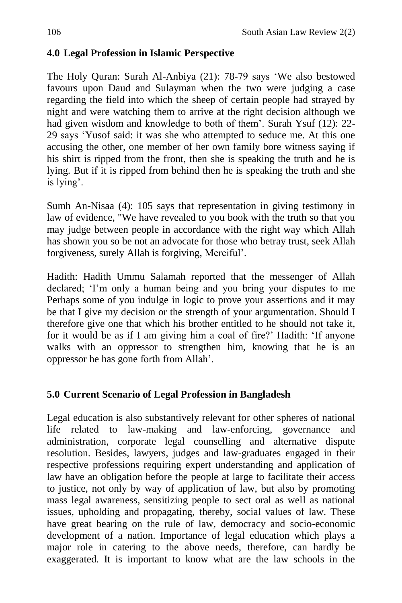# **4.0 Legal Profession in Islamic Perspective**

The Holy Ouran: Surah Al-Anbiya (21): 78-79 says 'We also bestowed favours upon Daud and Sulayman when the two were judging a case regarding the field into which the sheep of certain people had strayed by night and were watching them to arrive at the right decision although we had given wisdom and knowledge to both of them'. Surah Ysuf (12): 22- 29 says ‗Yusof said: it was she who attempted to seduce me. At this one accusing the other, one member of her own family bore witness saying if his shirt is ripped from the front, then she is speaking the truth and he is lying. But if it is ripped from behind then he is speaking the truth and she is lying'.

Sumh An-Nisaa (4): 105 says that representation in giving testimony in law of evidence, "We have revealed to you book with the truth so that you may judge between people in accordance with the right way which Allah has shown you so be not an advocate for those who betray trust, seek Allah forgiveness, surely Allah is forgiving, Merciful'.

Hadith: Hadith Ummu Salamah reported that the messenger of Allah declared; 'I'm only a human being and you bring your disputes to me Perhaps some of you indulge in logic to prove your assertions and it may be that I give my decision or the strength of your argumentation. Should I therefore give one that which his brother entitled to he should not take it, for it would be as if I am giving him a coal of fire?' Hadith: ‗If anyone walks with an oppressor to strengthen him, knowing that he is an oppressor he has gone forth from Allah'.

# **5.0 Current Scenario of Legal Profession in Bangladesh**

Legal education is also substantively relevant for other spheres of national life related to law-making and law-enforcing, governance and administration, corporate legal counselling and alternative dispute resolution. Besides, lawyers, judges and law-graduates engaged in their respective professions requiring expert understanding and application of law have an obligation before the people at large to facilitate their access to justice, not only by way of application of law, but also by promoting mass legal awareness, sensitizing people to sect oral as well as national issues, upholding and propagating, thereby, social values of law. These have great bearing on the rule of law, democracy and socio-economic development of a nation. Importance of legal education which plays a major role in catering to the above needs, therefore, can hardly be exaggerated. It is important to know what are the law schools in the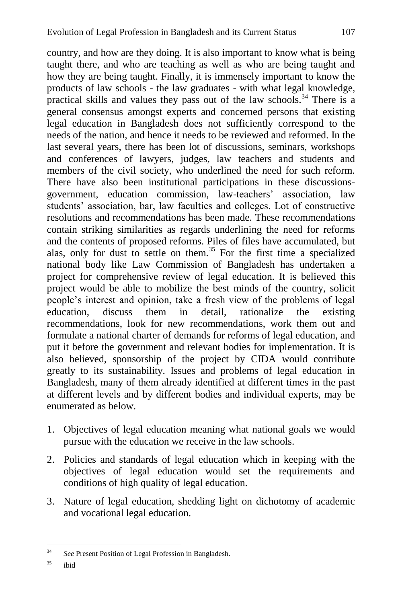country, and how are they doing. It is also important to know what is being taught there, and who are teaching as well as who are being taught and how they are being taught. Finally, it is immensely important to know the products of law schools - the law graduates - with what legal knowledge, practical skills and values they pass out of the law schools.<sup>34</sup> There is a general consensus amongst experts and concerned persons that existing legal education in Bangladesh does not sufficiently correspond to the needs of the nation, and hence it needs to be reviewed and reformed. In the last several years, there has been lot of discussions, seminars, workshops and conferences of lawyers, judges, law teachers and students and members of the civil society, who underlined the need for such reform. There have also been institutional participations in these discussionsgovernment, education commission, law-teachers' association, law students' association, bar, law faculties and colleges. Lot of constructive resolutions and recommendations has been made. These recommendations contain striking similarities as regards underlining the need for reforms and the contents of proposed reforms. Piles of files have accumulated, but alas, only for dust to settle on them.<sup>35</sup> For the first time a specialized national body like Law Commission of Bangladesh has undertaken a project for comprehensive review of legal education. It is believed this project would be able to mobilize the best minds of the country, solicit people's interest and opinion, take a fresh view of the problems of legal education, discuss them in detail, rationalize the existing recommendations, look for new recommendations, work them out and formulate a national charter of demands for reforms of legal education, and put it before the government and relevant bodies for implementation. It is

also believed, sponsorship of the project by CIDA would contribute greatly to its sustainability. Issues and problems of legal education in Bangladesh, many of them already identified at different times in the past at different levels and by different bodies and individual experts, may be enumerated as below.

- 1. Objectives of legal education meaning what national goals we would pursue with the education we receive in the law schools.
- 2. Policies and standards of legal education which in keeping with the objectives of legal education would set the requirements and conditions of high quality of legal education.
- 3. Nature of legal education, shedding light on dichotomy of academic and vocational legal education.

 $34$ <sup>34</sup> *See* Present Position of Legal Profession in Bangladesh.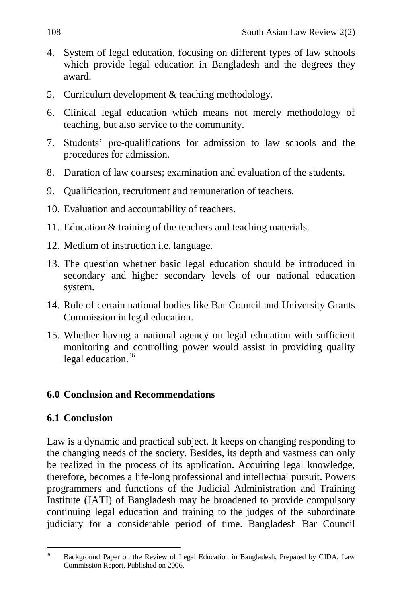- 4. System of legal education, focusing on different types of law schools which provide legal education in Bangladesh and the degrees they award.
- 5. Curriculum development & teaching methodology.
- 6. Clinical legal education which means not merely methodology of teaching, but also service to the community.
- 7. Students' pre-qualifications for admission to law schools and the procedures for admission.
- 8. Duration of law courses; examination and evaluation of the students.
- 9. Qualification, recruitment and remuneration of teachers.
- 10. Evaluation and accountability of teachers.
- 11. Education & training of the teachers and teaching materials.
- 12. Medium of instruction i.e. language.
- 13. The question whether basic legal education should be introduced in secondary and higher secondary levels of our national education system.
- 14. Role of certain national bodies like Bar Council and University Grants Commission in legal education.
- 15. Whether having a national agency on legal education with sufficient monitoring and controlling power would assist in providing quality legal education.<sup>36</sup>

# **6.0 Conclusion and Recommendations**

# **6.1 Conclusion**

Law is a dynamic and practical subject. It keeps on changing responding to the changing needs of the society. Besides, its depth and vastness can only be realized in the process of its application. Acquiring legal knowledge, therefore, becomes a life-long professional and intellectual pursuit. Powers programmers and functions of the Judicial Administration and Training Institute (JATI) of Bangladesh may be broadened to provide compulsory continuing legal education and training to the judges of the subordinate judiciary for a considerable period of time. Bangladesh Bar Council

<sup>36</sup> <sup>36</sup> Background Paper on the Review of Legal Education in Bangladesh, Prepared by CIDA, Law Commission Report, Published on 2006.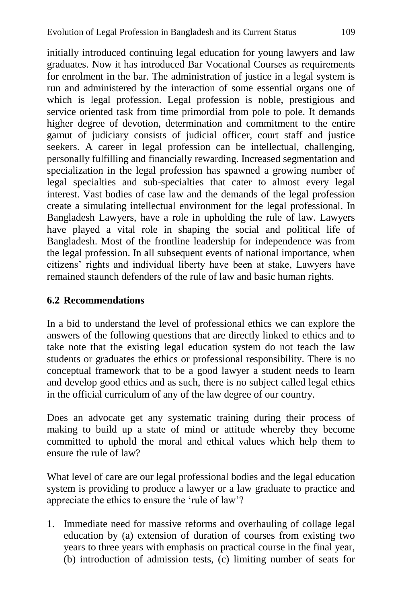initially introduced continuing legal education for young lawyers and law graduates. Now it has introduced Bar Vocational Courses as requirements for enrolment in the bar. The administration of justice in a legal system is run and administered by the interaction of some essential organs one of which is legal profession. Legal profession is noble, prestigious and service oriented task from time primordial from pole to pole. It demands higher degree of devotion, determination and commitment to the entire gamut of judiciary consists of judicial officer, court staff and justice seekers. A career in legal profession can be intellectual, challenging, personally fulfilling and financially rewarding. Increased segmentation and specialization in the legal profession has spawned a growing number of legal specialties and sub-specialties that cater to almost every legal interest. Vast bodies of case law and the demands of the legal profession create a simulating intellectual environment for the legal professional. In Bangladesh Lawyers, have a role in upholding the rule of law. Lawyers have played a vital role in shaping the social and political life of Bangladesh. Most of the frontline leadership for independence was from the legal profession. In all subsequent events of national importance, when citizens' rights and individual liberty have been at stake, Lawyers have remained staunch defenders of the rule of law and basic human rights.

#### **6.2 Recommendations**

In a bid to understand the level of professional ethics we can explore the answers of the following questions that are directly linked to ethics and to take note that the existing legal education system do not teach the law students or graduates the ethics or professional responsibility. There is no conceptual framework that to be a good lawyer a student needs to learn and develop good ethics and as such, there is no subject called legal ethics in the official curriculum of any of the law degree of our country.

Does an advocate get any systematic training during their process of making to build up a state of mind or attitude whereby they become committed to uphold the moral and ethical values which help them to ensure the rule of law?

What level of care are our legal professional bodies and the legal education system is providing to produce a lawyer or a law graduate to practice and appreciate the ethics to ensure the 'rule of law'?

1. Immediate need for massive reforms and overhauling of collage legal education by (a) extension of duration of courses from existing two years to three years with emphasis on practical course in the final year, (b) introduction of admission tests, (c) limiting number of seats for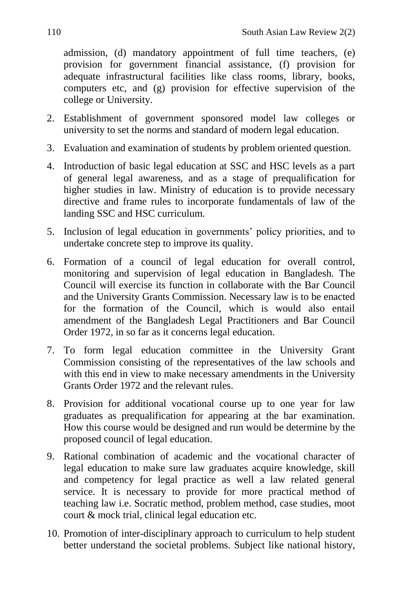admission, (d) mandatory appointment of full time teachers, (e) provision for government financial assistance, (f) provision for adequate infrastructural facilities like class rooms, library, books, computers etc, and (g) provision for effective supervision of the college or University.

- 2. Establishment of government sponsored model law colleges or university to set the norms and standard of modern legal education.
- 3. Evaluation and examination of students by problem oriented question.
- 4. Introduction of basic legal education at SSC and HSC levels as a part of general legal awareness, and as a stage of prequalification for higher studies in law. Ministry of education is to provide necessary directive and frame rules to incorporate fundamentals of law of the landing SSC and HSC curriculum.
- 5. Inclusion of legal education in governments' policy priorities, and to undertake concrete step to improve its quality.
- 6. Formation of a council of legal education for overall control, monitoring and supervision of legal education in Bangladesh. The Council will exercise its function in collaborate with the Bar Council and the University Grants Commission. Necessary law is to be enacted for the formation of the Council, which is would also entail amendment of the Bangladesh Legal Practitioners and Bar Council Order 1972, in so far as it concerns legal education.
- 7. To form legal education committee in the University Grant Commission consisting of the representatives of the law schools and with this end in view to make necessary amendments in the University Grants Order 1972 and the relevant rules.
- 8. Provision for additional vocational course up to one year for law graduates as prequalification for appearing at the bar examination. How this course would be designed and run would be determine by the proposed council of legal education.
- 9. Rational combination of academic and the vocational character of legal education to make sure law graduates acquire knowledge, skill and competency for legal practice as well a law related general service. It is necessary to provide for more practical method of teaching law i.e. Socratic method, problem method, case studies, moot court & mock trial, clinical legal education etc.
- 10. Promotion of inter-disciplinary approach to curriculum to help student better understand the societal problems. Subject like national history,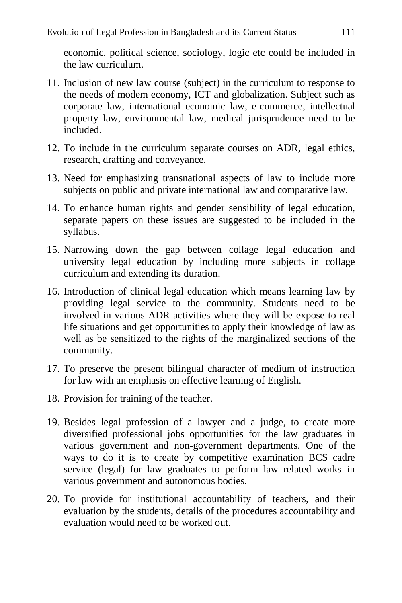economic, political science, sociology, logic etc could be included in the law curriculum.

- 11. Inclusion of new law course (subject) in the curriculum to response to the needs of modem economy, ICT and globalization. Subject such as corporate law, international economic law, e-commerce, intellectual property law, environmental law, medical jurisprudence need to be included.
- 12. To include in the curriculum separate courses on ADR, legal ethics, research, drafting and conveyance.
- 13. Need for emphasizing transnational aspects of law to include more subjects on public and private international law and comparative law.
- 14. To enhance human rights and gender sensibility of legal education, separate papers on these issues are suggested to be included in the syllabus.
- 15. Narrowing down the gap between collage legal education and university legal education by including more subjects in collage curriculum and extending its duration.
- 16. Introduction of clinical legal education which means learning law by providing legal service to the community. Students need to be involved in various ADR activities where they will be expose to real life situations and get opportunities to apply their knowledge of law as well as be sensitized to the rights of the marginalized sections of the community.
- 17. To preserve the present bilingual character of medium of instruction for law with an emphasis on effective learning of English.
- 18. Provision for training of the teacher.
- 19. Besides legal profession of a lawyer and a judge, to create more diversified professional jobs opportunities for the law graduates in various government and non-government departments. One of the ways to do it is to create by competitive examination BCS cadre service (legal) for law graduates to perform law related works in various government and autonomous bodies.
- 20. To provide for institutional accountability of teachers, and their evaluation by the students, details of the procedures accountability and evaluation would need to be worked out.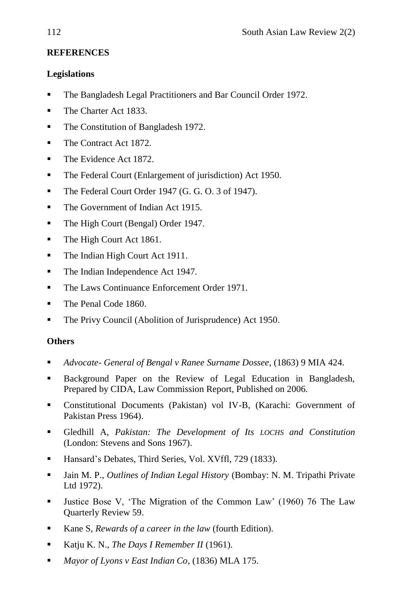### **REFERENCES**

#### **Legislations**

- **The Bangladesh Legal Practitioners and Bar Council Order 1972.**
- The Charter Act 1833.
- The Constitution of Bangladesh 1972.
- The Contract Act 1872.
- The Evidence Act 1872.
- The Federal Court (Enlargement of jurisdiction) Act 1950.
- The Federal Court Order 1947 (G. G. O. 3 of 1947).
- The Government of Indian Act 1915.
- The High Court (Bengal) Order 1947.
- The High Court Act 1861.
- The Indian High Court Act 1911.
- The Indian Independence Act 1947.
- The Laws Continuance Enforcement Order 1971.
- The Penal Code 1860.
- The Privy Council (Abolition of Jurisprudence) Act 1950.

#### **Others**

- *Advocate- General of Bengal v Ranee Surname Dossee*, (1863) 9 MIA 424.
- Background Paper on the Review of Legal Education in Bangladesh, Prepared by CIDA, Law Commission Report, Published on 2006.
- Constitutional Documents (Pakistan) vol IV-B, (Karachi: Government of Pakistan Press 1964).
- Gledhill A, *Pakistan: The Development of Its LOCHS and Constitution*  (London: Stevens and Sons 1967).
- Hansard's Debates, Third Series, Vol. XVffl, 729 (1833).
- Jain M. P., *Outlines of Indian Legal History* (Bombay: N. M. Tripathi Private Ltd 1972).
- I Justice Bose V, 'The Migration of the Common Law' (1960) 76 The Law Quarterly Review 59.
- Kane S, *Rewards of a career in the law* (fourth Edition).
- Katju K. N., *The Days I Remember II* (1961).
- *Mayor of Lyons v East Indian Co*, (1836) MLA 175.